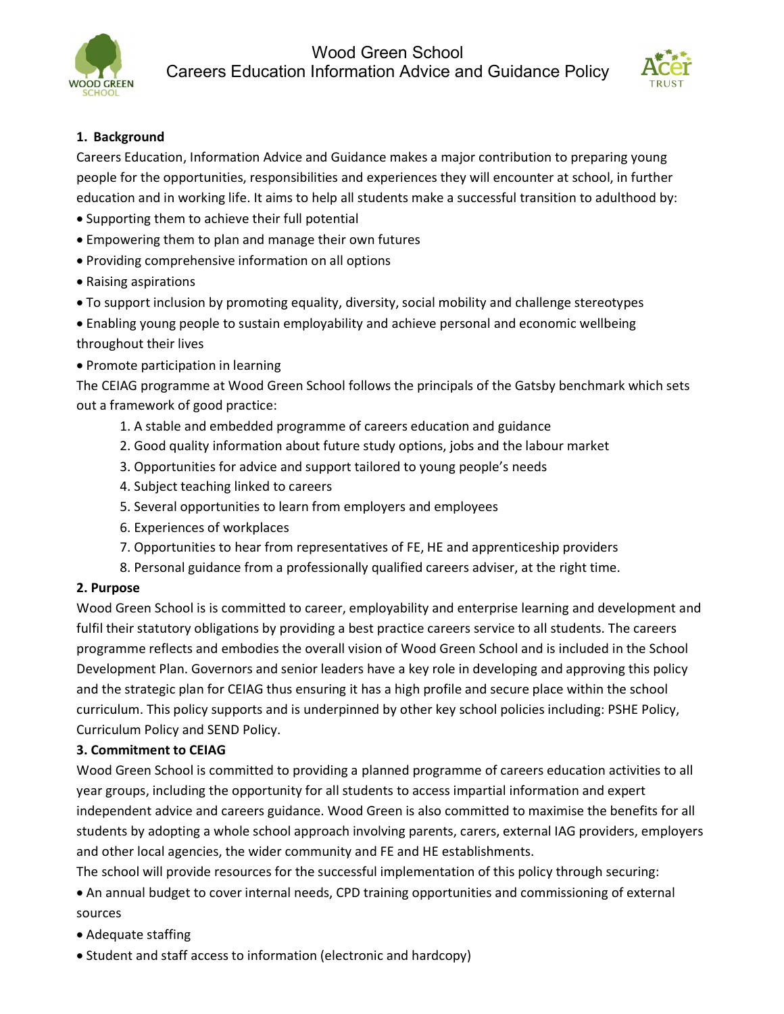



# 1. Background

Careers Education, Information Advice and Guidance makes a major contribution to preparing young people for the opportunities, responsibilities and experiences they will encounter at school, in further education and in working life. It aims to help all students make a successful transition to adulthood by:

- Supporting them to achieve their full potential
- Empowering them to plan and manage their own futures
- Providing comprehensive information on all options
- Raising aspirations
- To support inclusion by promoting equality, diversity, social mobility and challenge stereotypes
- Enabling young people to sustain employability and achieve personal and economic wellbeing throughout their lives
- Promote participation in learning

The CEIAG programme at Wood Green School follows the principals of the Gatsby benchmark which sets out a framework of good practice:

- 1. A stable and embedded programme of careers education and guidance
- 2. Good quality information about future study options, jobs and the labour market
- 3. Opportunities for advice and support tailored to young people's needs
- 4. Subject teaching linked to careers
- 5. Several opportunities to learn from employers and employees
- 6. Experiences of workplaces
- 7. Opportunities to hear from representatives of FE, HE and apprenticeship providers
- 8. Personal guidance from a professionally qualified careers adviser, at the right time.

# 2. Purpose

Wood Green School is is committed to career, employability and enterprise learning and development and fulfil their statutory obligations by providing a best practice careers service to all students. The careers programme reflects and embodies the overall vision of Wood Green School and is included in the School Development Plan. Governors and senior leaders have a key role in developing and approving this policy and the strategic plan for CEIAG thus ensuring it has a high profile and secure place within the school curriculum. This policy supports and is underpinned by other key school policies including: PSHE Policy, Curriculum Policy and SEND Policy.

## 3. Commitment to CEIAG

Wood Green School is committed to providing a planned programme of careers education activities to all year groups, including the opportunity for all students to access impartial information and expert independent advice and careers guidance. Wood Green is also committed to maximise the benefits for all students by adopting a whole school approach involving parents, carers, external IAG providers, employers and other local agencies, the wider community and FE and HE establishments.

The school will provide resources for the successful implementation of this policy through securing:

 An annual budget to cover internal needs, CPD training opportunities and commissioning of external sources

- Adequate staffing
- Student and staff access to information (electronic and hardcopy)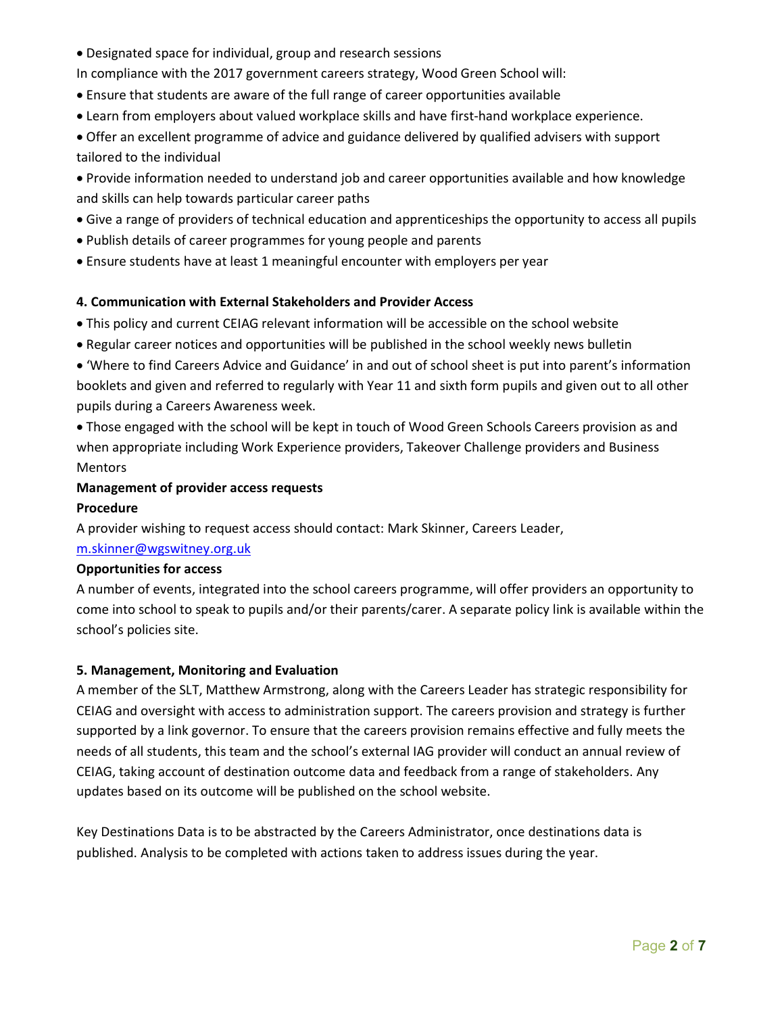Designated space for individual, group and research sessions

In compliance with the 2017 government careers strategy, Wood Green School will:

- Ensure that students are aware of the full range of career opportunities available
- Learn from employers about valued workplace skills and have first-hand workplace experience.

 Offer an excellent programme of advice and guidance delivered by qualified advisers with support tailored to the individual

 Provide information needed to understand job and career opportunities available and how knowledge and skills can help towards particular career paths

- Give a range of providers of technical education and apprenticeships the opportunity to access all pupils
- Publish details of career programmes for young people and parents
- Ensure students have at least 1 meaningful encounter with employers per year

## 4. Communication with External Stakeholders and Provider Access

This policy and current CEIAG relevant information will be accessible on the school website

Regular career notices and opportunities will be published in the school weekly news bulletin

 'Where to find Careers Advice and Guidance' in and out of school sheet is put into parent's information booklets and given and referred to regularly with Year 11 and sixth form pupils and given out to all other pupils during a Careers Awareness week.

 Those engaged with the school will be kept in touch of Wood Green Schools Careers provision as and when appropriate including Work Experience providers, Takeover Challenge providers and Business Mentors

### Management of provider access requests

### Procedure

A provider wishing to request access should contact: Mark Skinner, Careers Leader,

## m.skinner@wgswitney.org.uk

### Opportunities for access

A number of events, integrated into the school careers programme, will offer providers an opportunity to come into school to speak to pupils and/or their parents/carer. A separate policy link is available within the school's policies site.

### 5. Management, Monitoring and Evaluation

A member of the SLT, Matthew Armstrong, along with the Careers Leader has strategic responsibility for CEIAG and oversight with access to administration support. The careers provision and strategy is further supported by a link governor. To ensure that the careers provision remains effective and fully meets the needs of all students, this team and the school's external IAG provider will conduct an annual review of CEIAG, taking account of destination outcome data and feedback from a range of stakeholders. Any updates based on its outcome will be published on the school website.

Key Destinations Data is to be abstracted by the Careers Administrator, once destinations data is published. Analysis to be completed with actions taken to address issues during the year.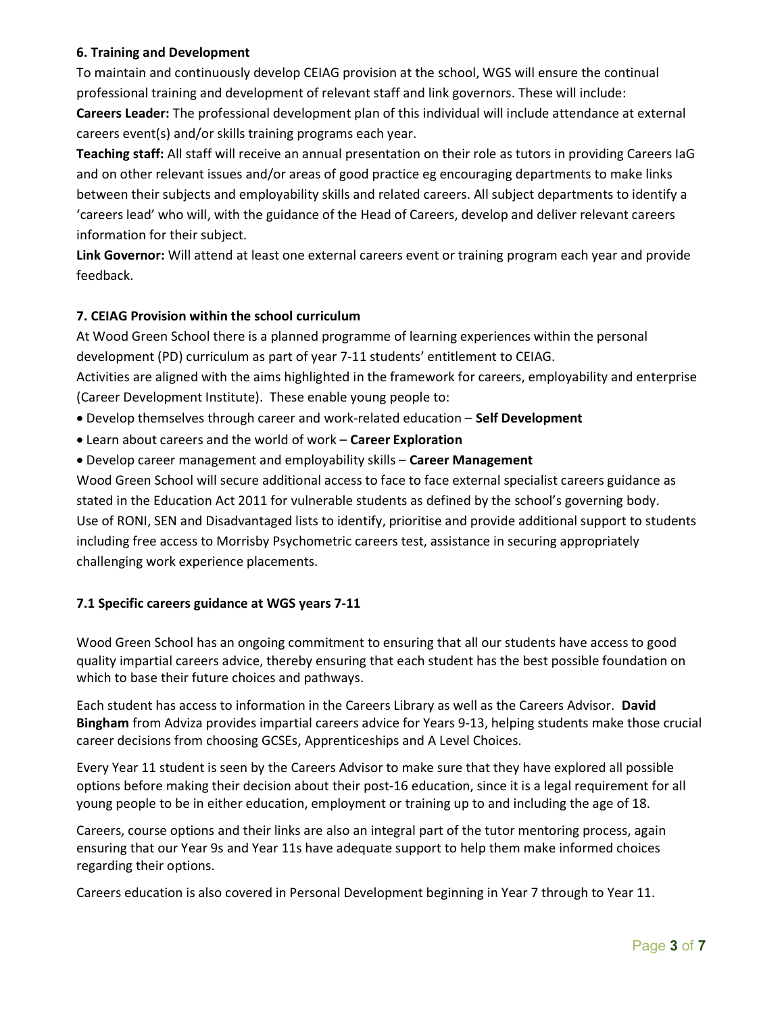## 6. Training and Development

To maintain and continuously develop CEIAG provision at the school, WGS will ensure the continual professional training and development of relevant staff and link governors. These will include: Careers Leader: The professional development plan of this individual will include attendance at external careers event(s) and/or skills training programs each year.

Teaching staff: All staff will receive an annual presentation on their role as tutors in providing Careers IaG and on other relevant issues and/or areas of good practice eg encouraging departments to make links between their subjects and employability skills and related careers. All subject departments to identify a 'careers lead' who will, with the guidance of the Head of Careers, develop and deliver relevant careers information for their subject.

Link Governor: Will attend at least one external careers event or training program each year and provide feedback.

## 7. CEIAG Provision within the school curriculum

At Wood Green School there is a planned programme of learning experiences within the personal development (PD) curriculum as part of year 7-11 students' entitlement to CEIAG.

Activities are aligned with the aims highlighted in the framework for careers, employability and enterprise (Career Development Institute). These enable young people to:

- Develop themselves through career and work-related education Self Development
- Learn about careers and the world of work Career Exploration
- Develop career management and employability skills Career Management

Wood Green School will secure additional access to face to face external specialist careers guidance as stated in the Education Act 2011 for vulnerable students as defined by the school's governing body. Use of RONI, SEN and Disadvantaged lists to identify, prioritise and provide additional support to students including free access to Morrisby Psychometric careers test, assistance in securing appropriately challenging work experience placements.

### 7.1 Specific careers guidance at WGS years 7-11

Wood Green School has an ongoing commitment to ensuring that all our students have access to good quality impartial careers advice, thereby ensuring that each student has the best possible foundation on which to base their future choices and pathways.

Each student has access to information in the Careers Library as well as the Careers Advisor. David Bingham from Adviza provides impartial careers advice for Years 9-13, helping students make those crucial career decisions from choosing GCSEs, Apprenticeships and A Level Choices.

Every Year 11 student is seen by the Careers Advisor to make sure that they have explored all possible options before making their decision about their post-16 education, since it is a legal requirement for all young people to be in either education, employment or training up to and including the age of 18.

Careers, course options and their links are also an integral part of the tutor mentoring process, again ensuring that our Year 9s and Year 11s have adequate support to help them make informed choices regarding their options.

Careers education is also covered in Personal Development beginning in Year 7 through to Year 11.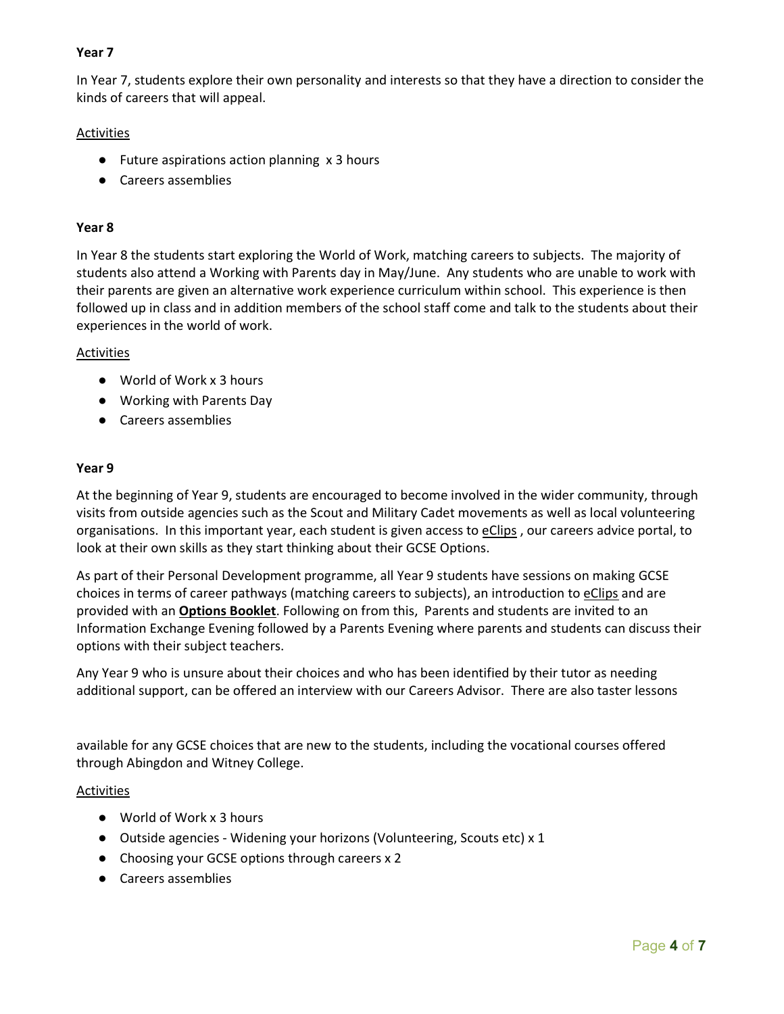## Year 7

In Year 7, students explore their own personality and interests so that they have a direction to consider the kinds of careers that will appeal.

### **Activities**

- Future aspirations action planning x 3 hours
- Careers assemblies

#### Year 8

In Year 8 the students start exploring the World of Work, matching careers to subjects. The majority of students also attend a Working with Parents day in May/June. Any students who are unable to work with their parents are given an alternative work experience curriculum within school. This experience is then followed up in class and in addition members of the school staff come and talk to the students about their experiences in the world of work.

#### Activities

- World of Work x 3 hours
- Working with Parents Day
- Careers assemblies

#### Year 9

At the beginning of Year 9, students are encouraged to become involved in the wider community, through visits from outside agencies such as the Scout and Military Cadet movements as well as local volunteering organisations. In this important year, each student is given access to eClips , our careers advice portal, to look at their own skills as they start thinking about their GCSE Options.

As part of their Personal Development programme, all Year 9 students have sessions on making GCSE choices in terms of career pathways (matching careers to subjects), an introduction to eClips and are provided with an Options Booklet. Following on from this, Parents and students are invited to an Information Exchange Evening followed by a Parents Evening where parents and students can discuss their options with their subject teachers.

Any Year 9 who is unsure about their choices and who has been identified by their tutor as needing additional support, can be offered an interview with our Careers Advisor. There are also taster lessons

available for any GCSE choices that are new to the students, including the vocational courses offered through Abingdon and Witney College.

#### Activities

- World of Work x 3 hours
- Outside agencies Widening your horizons (Volunteering, Scouts etc) x 1
- Choosing your GCSE options through careers x 2
- Careers assemblies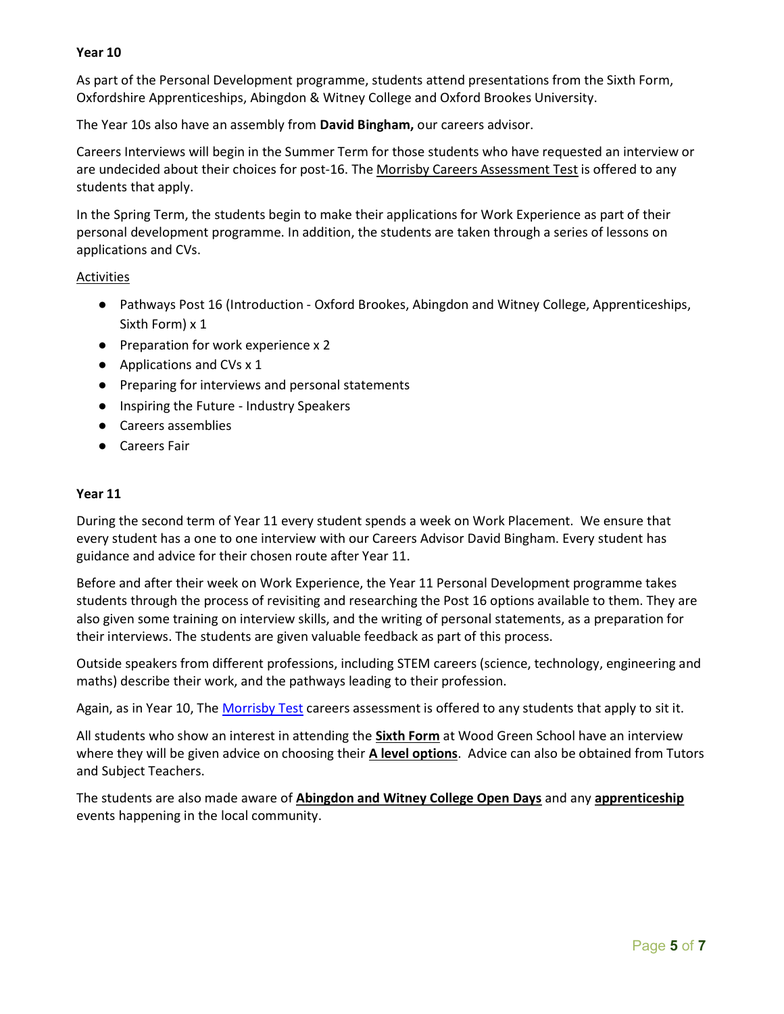## Year 10

As part of the Personal Development programme, students attend presentations from the Sixth Form, Oxfordshire Apprenticeships, Abingdon & Witney College and Oxford Brookes University.

The Year 10s also have an assembly from David Bingham, our careers advisor.

Careers Interviews will begin in the Summer Term for those students who have requested an interview or are undecided about their choices for post-16. The Morrisby Careers Assessment Test is offered to any students that apply.

In the Spring Term, the students begin to make their applications for Work Experience as part of their personal development programme. In addition, the students are taken through a series of lessons on applications and CVs.

### **Activities**

- Pathways Post 16 (Introduction Oxford Brookes, Abingdon and Witney College, Apprenticeships, Sixth Form) x 1
- Preparation for work experience x 2
- Applications and CVs x 1
- Preparing for interviews and personal statements
- Inspiring the Future Industry Speakers
- Careers assemblies
- Careers Fair

#### Year 11

During the second term of Year 11 every student spends a week on Work Placement. We ensure that every student has a one to one interview with our Careers Advisor David Bingham. Every student has guidance and advice for their chosen route after Year 11.

Before and after their week on Work Experience, the Year 11 Personal Development programme takes students through the process of revisiting and researching the Post 16 options available to them. They are also given some training on interview skills, and the writing of personal statements, as a preparation for their interviews. The students are given valuable feedback as part of this process.

Outside speakers from different professions, including STEM careers (science, technology, engineering and maths) describe their work, and the pathways leading to their profession.

Again, as in Year 10, The Morrisby Test careers assessment is offered to any students that apply to sit it.

All students who show an interest in attending the **Sixth Form** at Wood Green School have an interview where they will be given advice on choosing their **A level options**. Advice can also be obtained from Tutors and Subject Teachers.

The students are also made aware of Abingdon and Witney College Open Days and any apprenticeship events happening in the local community.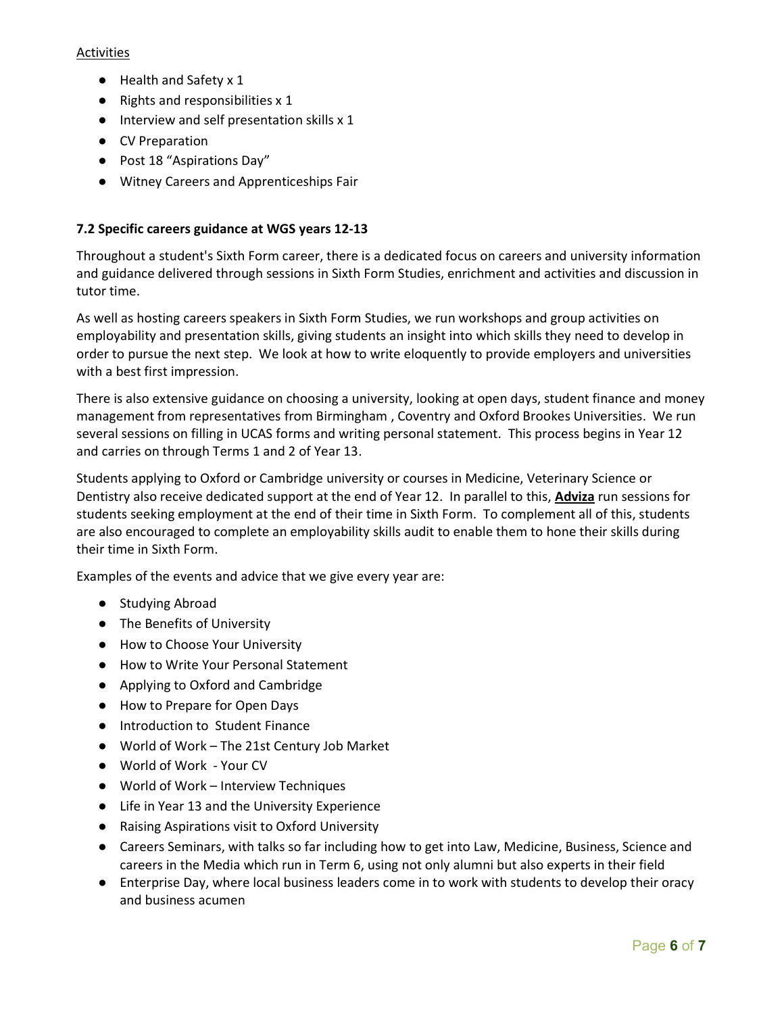## Activities

- Health and Safety x 1
- $\bullet$  Rights and responsibilities x 1
- Interview and self presentation skills x 1
- CV Preparation
- Post 18 "Aspirations Day"
- Witney Careers and Apprenticeships Fair

## 7.2 Specific careers guidance at WGS years 12-13

Throughout a student's Sixth Form career, there is a dedicated focus on careers and university information and guidance delivered through sessions in Sixth Form Studies, enrichment and activities and discussion in tutor time.

As well as hosting careers speakers in Sixth Form Studies, we run workshops and group activities on employability and presentation skills, giving students an insight into which skills they need to develop in order to pursue the next step. We look at how to write eloquently to provide employers and universities with a best first impression.

There is also extensive guidance on choosing a university, looking at open days, student finance and money management from representatives from Birmingham , Coventry and Oxford Brookes Universities. We run several sessions on filling in UCAS forms and writing personal statement. This process begins in Year 12 and carries on through Terms 1 and 2 of Year 13.

Students applying to Oxford or Cambridge university or courses in Medicine, Veterinary Science or Dentistry also receive dedicated support at the end of Year 12. In parallel to this, **Adviza** run sessions for students seeking employment at the end of their time in Sixth Form. To complement all of this, students are also encouraged to complete an employability skills audit to enable them to hone their skills during their time in Sixth Form.

Examples of the events and advice that we give every year are:

- Studying Abroad
- The Benefits of University
- How to Choose Your University
- How to Write Your Personal Statement
- Applying to Oxford and Cambridge
- How to Prepare for Open Days
- Introduction to Student Finance
- World of Work The 21st Century Job Market
- World of Work Your CV
- World of Work Interview Techniques
- Life in Year 13 and the University Experience
- Raising Aspirations visit to Oxford University
- Careers Seminars, with talks so far including how to get into Law, Medicine, Business, Science and careers in the Media which run in Term 6, using not only alumni but also experts in their field
- Enterprise Day, where local business leaders come in to work with students to develop their oracy and business acumen